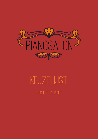

# keuzelijst

ZINGEN BIJ DE PIANO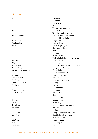#### Engelstalig

Abba **Chiquitita** Fernando I have a dream Mama mia The way old friends do Adèle **Set fire to the rain** To make you feel my love Andrew Sisters **Don't sit under the apple tree** Rum and Coca-Cola Art Garfunkel Bright eyes The Bangles **Example 2** and the Bangles **Eternal** flame the Beatles **A** hard days night Here comes the sun Hey Jude Let it be When I'm 64 With a little help from my friends Billy Joel **The Pianoman** Billy Swan **I can help** B.J. Thomas **Raindrops** keep falling on my head Brian Adams Everything I do, I do it for you Broken circle breakdown and a settle of the If needed you The summer of '69 Boney M **Boney M** Rivers of Babylon Cats (musical) and the contract of the Memory Cat Stevens **Morning** has broken Christopher Cross Sailing Coldplay Fix you The scientist Crowded House The weather David Bowie **Life on Mars?** Heroes Space oddity Don Mc Lean **American** pie Dido White Flag Dolly Dots **Love me just a little bit more** Ed Sheeran **Happier** Happier Perfect Elton John **Can you feel the love tonight** Elvis Presley Can't help falling in love Love me tender Eric Clapton **Tears** in heaven Fats Domino **Blueberry Hill** Fleetwood Mac Go your own way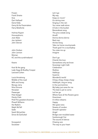Frozen Let it go Frank Sinatra **My way** My way 5ive Sive South America Contract Contract Contract Contract Contract Contract Contract Contract Contract Contract Contract Contract Contract Contract Contract Contract Contract Contract Contract Contract Contract Contract Gari Halliwell **Gari Halliwell It's raining men** Gene Kelly **Singing in the rain** Gerry & the Pacemakers The County of Pacemakers Theorem 2012 Harry Belafonte **A** hole in the bucket

Hooverphonic **Amalfi** Joe Jackson Real men John Denver **Annies Song** 

John Groban You raise me up John Lennon **Imagine** Woman KC and the sunshineband Don't go

Kool & the gang Celebration Lady Gaga & Bradley Cooper Shallow Leonard Cohen **Halleluia** 

Louis Armstrong Nonderful world Middle of the road Chirpy chirpy cheep cheep Milk and honey Hallelujah, sing an song Mungo Jerry **In the summertime** Nina Simone My baby just cares for me Novastar Novastar **Novastar** The best is yet to come Passenger Let her go Petula Clark **Downtown** Pink/The greatest showman A million dreams Pharell Williams **Happy** Happy the Radio's and the Radio's she goes nanalyzed by the Radio's shell be shown in the Radio's shell be shown in the Shell by Shell and Shell and Shell and Shell and Shell and Shell and Shell and Shell and Shell and Shell and Ralph McTell **Streets** of London Sade Sade Smooth operator Sarah McLachlan Angel Simon & Garfunkel **Bridge over troubled water** 

Soulsister Soulsister The way to your heart

Bananaboat song Holmes Rupert The pina colada song Joan Baez Donna donna donna Take me home countryroads Thank god I'm a countryboy

Cherish the love Keane Somewhere only we know Sovereign Light Café Suzanne Pete Seeger **Pete Seeger Pete Seeger** and the flowers gone Scarborough Fair The sound of silence Snowpatrol **Snowpatrol** Chasing cars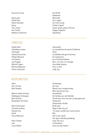#### Sound of music Do Re Mi

- Spice girls **Wannabe** Steely Dan **Do it again** Stevie Wonder **Islamic Stevie Wonder** Isn't she lovely Sting Sting **Fields** of gold the Turtles **Happy together** Wallace Collection **Daydream**
- Edelweiss Tom Jones **Green green grass of home**

#### FRANSTALIG

Axelle Red Sensualité Christoph Aline Gilbert Bécaud **Et maintenant** Michel Fugain Une belle histoire Michel Delpeche Pour un flirt Pierre Groscolas **Lady Law** 

#### Nederlandstalig

Abel Onderweg Ann Christy De roos

Bløf en Geike Arnaert Zoutelande Boudewiin de Groot and Testament

Bram Vermeulen and a state with the Rode wijn Gorki Mia Guus Meeuwis **Het is een nacht** 

Laïs O Dorothea

Cabadese zussen La complainte de sainte Cathérine Gérard Lenorman de la ballade des gens heureux Joe Dassin **Aux Champs-Elysées** Les Poppys Non, non rien n'a changé

Bart Peeters **Brood voor morgenvroeg** Wat nog komen zou Bobbejaan Schoepen De lichtjes van de Schelde Bob Scholte Ik heb een huis met een tuintje gehuurd Verdronken vlinder Claudia de Breij Mag ik dan bij jou? Gerard Cox 't Is weer voorbij die mooie zomer Per spoor (Kedeng kedeng) Klein Orkest **Communist Communist Communist Communist Communist Communist Communist Communist Communist Communist Communist Communist Communist Communist Communist Communist Communist Communist Communist Communist Communis** Louis Neefs Laat ons een bloem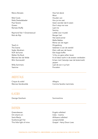| Marco Borsato             | Hoe het danst                             |
|---------------------------|-------------------------------------------|
|                           | Mooi                                      |
| Miel Cools                | Houden van                                |
| Niels Destadsbader        | Hou je me vast                            |
| Paul Severs               | Geen wonder dat ik ween                   |
| Queen                     | Don't stop me now                         |
| Ramses Shaffy             | Laat me                                   |
|                           | Sammy                                     |
| Raymond Van 't Groenewoud | Liefde voor muziek                        |
| Rob de Nijs               | Banger hart                               |
|                           | Het werd zomer                            |
|                           | Malle Babbe                               |
|                           | Ritme van de regen                        |
| Teach-in                  | Dingedong                                 |
| The Scene                 | ledereen is van de wereld                 |
| Vader Abraham             | Klein café aan de haven                   |
| VOF de kunst              | Eén kopje koffie                          |
| Walter De Buck            | 'k Zou zo gere willen leven               |
| Wannes Van de Velde       | Ik wil deze nacht in de straten verdwalen |
| Wim Sonneveld             | Ik ben met Catootje naar de botermarkt    |
|                           | gegaan                                    |
| <b>Willy Sommers</b>      | Laat de zon in je hart                    |
| Yasmine                   | Porcelein                                 |

# **ANDERSTALIG**

Cirque du soleil annual annual annual Allegria

Wannes Vandevelde **Comme facette mammeta** 

# Klassiek

George Gershwin Summertime

## **DIVERSEN**

Greensleeves **Engels volkslied** Om shanti om India - mantra Sarie Marijs **Afrikaans** volkslied Scarborough Fair **Scarborough Fair** and The Scarborough Fair oorspronkelijk

This little light of mine Gospel - Harry Dixon Loes